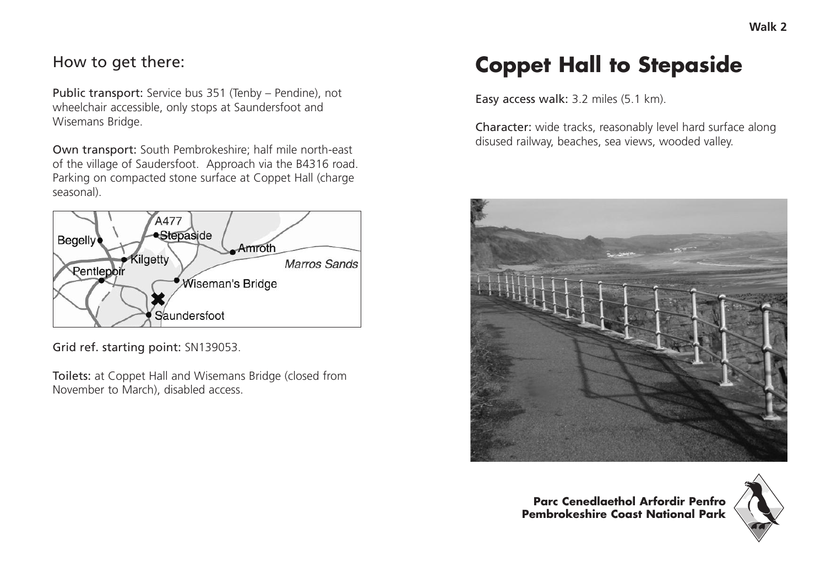## How to get there:

Public transport: Service bus 351 (Tenby – Pendine), not wheelchair accessible, only stops at Saundersfoot and Wisemans Bridge.

Own transport: South Pembrokeshire; half mile north-east of the village of Saudersfoot. Approach via the B4316 road. Parking on compacted stone surface at Coppet Hall (charge seasonal).



Grid ref. starting point: SN139053.

Toilets: at Coppet Hall and Wisemans Bridge (closed from November to March), disabled access.

## **Coppet Hall to Stepaside**

Easy access walk: 3.2 miles (5.1 km).

Character: wide tracks, reasonably level hard surface along disused railway, beaches, sea views, wooded valley.



**Parc Cenedlaethol Arfordir Penfro Pembrokeshire Coast National Park**

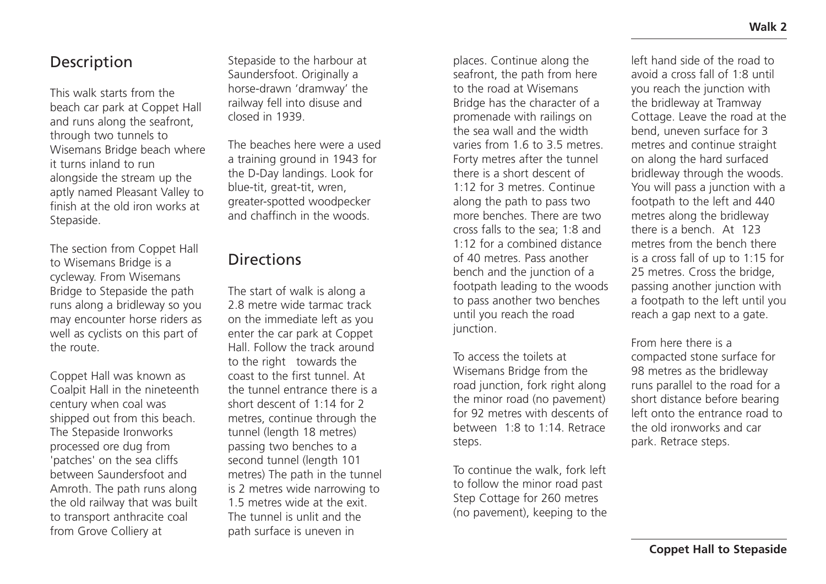## Description

This walk starts from the beach car park at Coppet Hall and runs along the seafront, through two tunnels to Wisemans Bridge beach where it turns inland to run alongside the stream up the aptly named Pleasant Valley to finish at the old iron works at Stepaside.

The section from Coppet Hall to Wisemans Bridge is a cycleway. From Wisemans Bridge to Stepaside the path runs along a bridleway so you may encounter horse riders as well as cyclists on this part of the route.

Coppet Hall was known as Coalpit Hall in the nineteenth century when coal was shipped out from this beach. The Stepaside Ironworks processed ore dug from 'patches' on the sea cliffs between Saundersfoot and Amroth. The path runs along the old railway that was built to transport anthracite coal from Grove Colliery at

Stepaside to the harbour at Saundersfoot. Originally a horse-drawn 'dramway' the railway fell into disuse and closed in 1939.

The beaches here were a used a training ground in 1943 for the D-Day landings. Look for blue-tit, great-tit, wren, greater-spotted woodpecker and chaffinch in the woods.

## **Directions**

The start of walk is along a 2.8 metre wide tarmac track on the immediate left as you enter the car park at Coppet Hall. Follow the track around to the right towards the coast to the first tunnel. At the tunnel entrance there is a short descent of 1:14 for 2 metres, continue through the tunnel (length 18 metres) passing two benches to a second tunnel (length 101 metres) The path in the tunnel is 2 metres wide narrowing to 1.5 metres wide at the exit. The tunnel is unlit and the path surface is uneven in

places. Continue along the seafront, the path from here to the road at Wisemans Bridge has the character of a promenade with railings on the sea wall and the width varies from 1.6 to 3.5 metres. Forty metres after the tunnel there is a short descent of 1:12 for 3 metres. Continue along the path to pass two more benches. There are two cross falls to the sea; 1:8 and 1:12 for a combined distance of 40 metres. Pass another bench and the junction of a footpath leading to the woods to pass another two benches until you reach the road iunction.

To access the toilets at Wisemans Bridge from the road junction, fork right along the minor road (no pavement) for 92 metres with descents of between 1:8 to 1:14. Retrace steps.

To continue the walk, fork left to follow the minor road past Step Cottage for 260 metres (no pavement), keeping to the left hand side of the road to avoid a cross fall of 1:8 until you reach the junction with the bridleway at Tramway Cottage. Leave the road at the bend, uneven surface for 3 metres and continue straight on along the hard surfaced bridleway through the woods. You will pass a junction with a footpath to the left and 440 metres along the bridleway there is a bench. At 123 metres from the bench there is a cross fall of up to 1:15 for 25 metres. Cross the bridge, passing another junction with a footpath to the left until you reach a gap next to a gate.

From here there is a compacted stone surface for 98 metres as the bridleway runs parallel to the road for a short distance before bearing left onto the entrance road to the old ironworks and car park. Retrace steps.